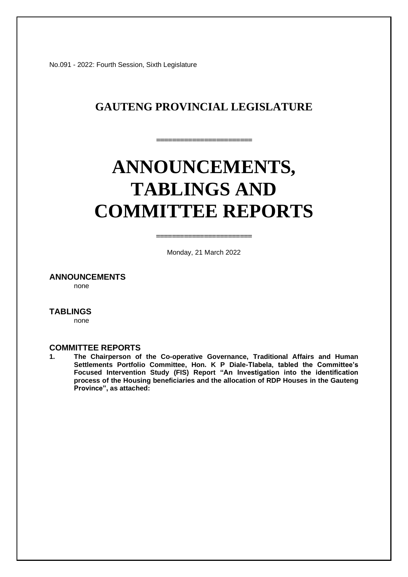No.091 - 2022: Fourth Session, Sixth Legislature

# **GAUTENG PROVINCIAL LEGISLATURE**

**========================** 

# **ANNOUNCEMENTS, TABLINGS AND COMMITTEE REPORTS**

Monday, 21 March 2022

**========================**

**ANNOUNCEMENTS**

none

#### **TABLINGS**

none

#### **COMMITTEE REPORTS**

**1. The Chairperson of the Co-operative Governance, Traditional Affairs and Human Settlements Portfolio Committee, Hon. K P Diale-Tlabela, tabled the Committee's Focused Intervention Study (FIS) Report "An Investigation into the identification process of the Housing beneficiaries and the allocation of RDP Houses in the Gauteng Province", as attached:**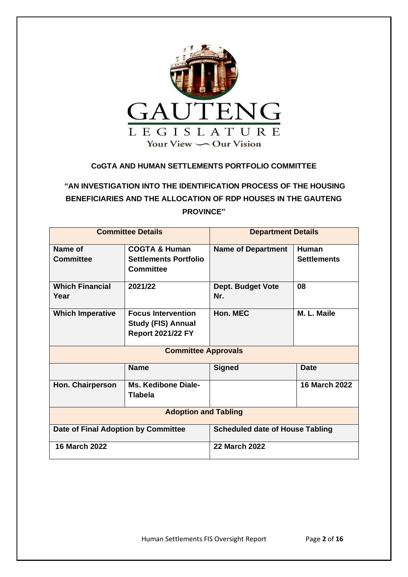

## **CoGTA AND HUMAN SETTLEMENTS PORTFOLIO COMMITTEE**

# **"AN INVESTIGATION INTO THE IDENTIFICATION PROCESS OF THE HOUSING BENEFICIARIES AND THE ALLOCATION OF RDP HOUSES IN THE GAUTENG PROVINCE"**

| <b>Committee Details</b>            |                                                                                    | <b>Department Details</b>              |                                    |  |
|-------------------------------------|------------------------------------------------------------------------------------|----------------------------------------|------------------------------------|--|
| Name of<br><b>Committee</b>         | <b>COGTA &amp; Human</b><br><b>Settlements Portfolio</b>                           | <b>Name of Department</b>              | <b>Human</b><br><b>Settlements</b> |  |
|                                     | <b>Committee</b>                                                                   |                                        |                                    |  |
| <b>Which Financial</b><br>Year      | 2021/22                                                                            | <b>Dept. Budget Vote</b><br>Nr.        | 08                                 |  |
| <b>Which Imperative</b>             | <b>Focus Intervention</b><br><b>Study (FIS) Annual</b><br><b>Report 2021/22 FY</b> | Hon. MEC                               | M. L. Maile                        |  |
| <b>Committee Approvals</b>          |                                                                                    |                                        |                                    |  |
|                                     | <b>Name</b>                                                                        | <b>Signed</b>                          | <b>Date</b>                        |  |
| <b>Hon. Chairperson</b>             | <b>Ms. Kedibone Diale-</b><br><b>Tlabela</b>                                       |                                        | <b>16 March 2022</b>               |  |
| <b>Adoption and Tabling</b>         |                                                                                    |                                        |                                    |  |
| Date of Final Adoption by Committee |                                                                                    | <b>Scheduled date of House Tabling</b> |                                    |  |
| 16 March 2022                       |                                                                                    | <b>22 March 2022</b>                   |                                    |  |

Human Settlements FIS Oversight Report Page **2** of **16**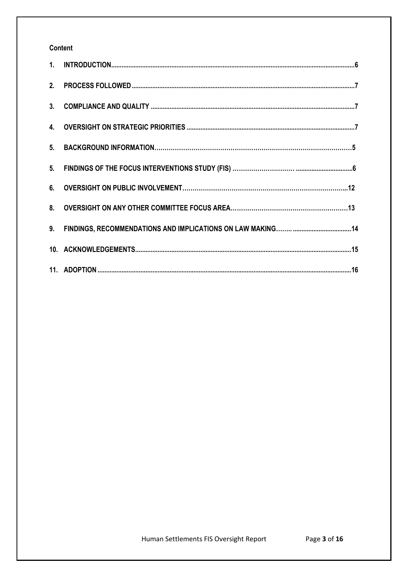# Content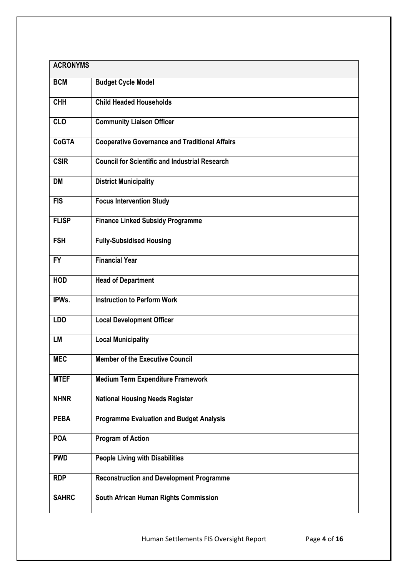| <b>ACRONYMS</b> |                                                       |  |
|-----------------|-------------------------------------------------------|--|
| <b>BCM</b>      | <b>Budget Cycle Model</b>                             |  |
| <b>CHH</b>      | <b>Child Headed Households</b>                        |  |
| <b>CLO</b>      | <b>Community Liaison Officer</b>                      |  |
| <b>CoGTA</b>    | <b>Cooperative Governance and Traditional Affairs</b> |  |
| <b>CSIR</b>     | <b>Council for Scientific and Industrial Research</b> |  |
| <b>DM</b>       | <b>District Municipality</b>                          |  |
| <b>FIS</b>      | <b>Focus Intervention Study</b>                       |  |
| <b>FLISP</b>    | <b>Finance Linked Subsidy Programme</b>               |  |
| <b>FSH</b>      | <b>Fully-Subsidised Housing</b>                       |  |
| <b>FY</b>       | <b>Financial Year</b>                                 |  |
| <b>HOD</b>      | <b>Head of Department</b>                             |  |
| IPWs.           | <b>Instruction to Perform Work</b>                    |  |
| LD <sub>O</sub> | <b>Local Development Officer</b>                      |  |
| LM              | <b>Local Municipality</b>                             |  |
| <b>MEC</b>      | <b>Member of the Executive Council</b>                |  |
| <b>MTEF</b>     | <b>Medium Term Expenditure Framework</b>              |  |
| <b>NHNR</b>     | <b>National Housing Needs Register</b>                |  |
| <b>PEBA</b>     | <b>Programme Evaluation and Budget Analysis</b>       |  |
| <b>POA</b>      | <b>Program of Action</b>                              |  |
| <b>PWD</b>      | <b>People Living with Disabilities</b>                |  |
| <b>RDP</b>      | <b>Reconstruction and Development Programme</b>       |  |
| <b>SAHRC</b>    | South African Human Rights Commission                 |  |

Human Settlements FIS Oversight Report Page **4** of **16**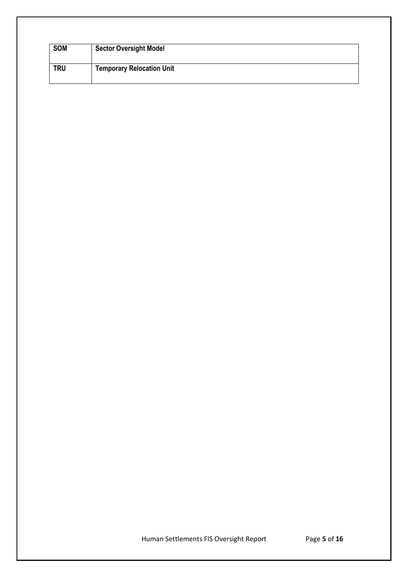| <b>SOM</b> | <b>Sector Oversight Model</b>    |
|------------|----------------------------------|
| <b>TRU</b> | <b>Temporary Relocation Unit</b> |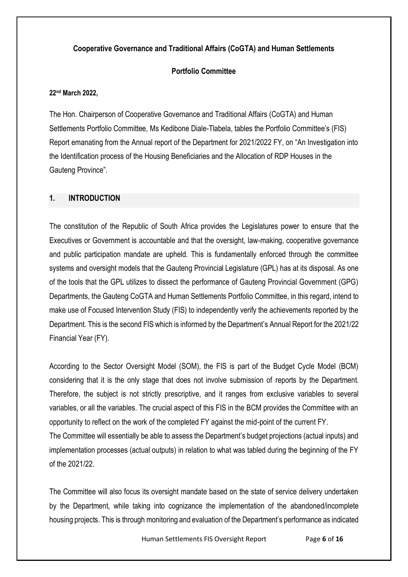## **Cooperative Governance and Traditional Affairs (CoGTA) and Human Settlements**

## **Portfolio Committee**

#### **22nd March 2022,**

The Hon. Chairperson of Cooperative Governance and Traditional Affairs (CoGTA) and Human Settlements Portfolio Committee, Ms Kedibone Diale-Tlabela, tables the Portfolio Committee's (FIS) Report emanating from the Annual report of the Department for 2021/2022 FY, on "An Investigation into the Identification process of the Housing Beneficiaries and the Allocation of RDP Houses in the Gauteng Province".

### <span id="page-5-0"></span>**1. INTRODUCTION**

The constitution of the Republic of South Africa provides the Legislatures power to ensure that the Executives or Government is accountable and that the oversight, law-making, cooperative governance and public participation mandate are upheld. This is fundamentally enforced through the committee systems and oversight models that the Gauteng Provincial Legislature (GPL) has at its disposal. As one of the tools that the GPL utilizes to dissect the performance of Gauteng Provincial Government (GPG) Departments, the Gauteng CoGTA and Human Settlements Portfolio Committee, in this regard, intend to make use of Focused Intervention Study (FIS) to independently verify the achievements reported by the Department. This is the second FIS which is informed by the Department's Annual Report for the 2021/22 Financial Year (FY).

According to the Sector Oversight Model (SOM), the FIS is part of the Budget Cycle Model (BCM) considering that it is the only stage that does not involve submission of reports by the Department. Therefore, the subject is not strictly prescriptive, and it ranges from exclusive variables to several variables, or all the variables. The crucial aspect of this FIS in the BCM provides the Committee with an opportunity to reflect on the work of the completed FY against the mid-point of the current FY. The Committee will essentially be able to assess the Department's budget projections (actual inputs) and implementation processes (actual outputs) in relation to what was tabled during the beginning of the FY of the 2021/22.

The Committee will also focus its oversight mandate based on the state of service delivery undertaken by the Department, while taking into cognizance the implementation of the abandoned/incomplete housing projects. This is through monitoring and evaluation of the Department's performance as indicated

Human Settlements FIS Oversight Report Page **6** of **16**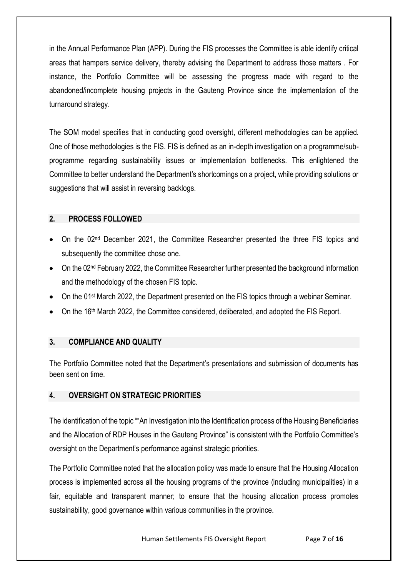in the Annual Performance Plan (APP). During the FIS processes the Committee is able identify critical areas that hampers service delivery, thereby advising the Department to address those matters . For instance, the Portfolio Committee will be assessing the progress made with regard to the abandoned/incomplete housing projects in the Gauteng Province since the implementation of the turnaround strategy.

The SOM model specifies that in conducting good oversight, different methodologies can be applied. One of those methodologies is the FIS. FIS is defined as an in-depth investigation on a programme/subprogramme regarding sustainability issues or implementation bottlenecks. This enlightened the Committee to better understand the Department's shortcomings on a project, while providing solutions or suggestions that will assist in reversing backlogs.

## <span id="page-6-0"></span>**2. PROCESS FOLLOWED**

- On the 02<sup>nd</sup> December 2021, the Committee Researcher presented the three FIS topics and subsequently the committee chose one.
- On the 02<sup>nd</sup> February 2022, the Committee Researcher further presented the background information and the methodology of the chosen FIS topic.
- On the 01<sup>st</sup> March 2022, the Department presented on the FIS topics through a webinar Seminar.
- <span id="page-6-1"></span>• On the 16<sup>th</sup> March 2022, the Committee considered, deliberated, and adopted the FIS Report.

# **3. COMPLIANCE AND QUALITY**

The Portfolio Committee noted that the Department's presentations and submission of documents has been sent on time.

# <span id="page-6-2"></span>**4. OVERSIGHT ON STRATEGIC PRIORITIES**

The identification of the topic ""An Investigation into the Identification process of the Housing Beneficiaries and the Allocation of RDP Houses in the Gauteng Province" is consistent with the Portfolio Committee's oversight on the Department's performance against strategic priorities.

The Portfolio Committee noted that the allocation policy was made to ensure that the Housing Allocation process is implemented across all the housing programs of the province (including municipalities) in a fair, equitable and transparent manner; to ensure that the housing allocation process promotes sustainability, good governance within various communities in the province.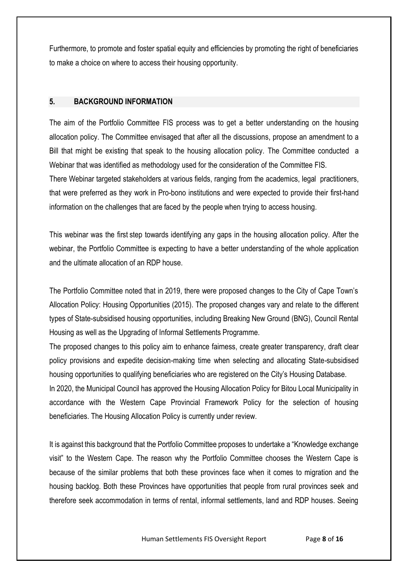Furthermore, to promote and foster spatial equity and efficiencies by promoting the right of beneficiaries to make a choice on where to access their housing opportunity.

## **5. BACKGROUND INFORMATION**

The aim of the Portfolio Committee FIS process was to get a better understanding on the housing allocation policy. The Committee envisaged that after all the discussions, propose an amendment to a Bill that might be existing that speak to the housing allocation policy. The Committee conducted a Webinar that was identified as methodology used for the consideration of the Committee FIS. There Webinar targeted stakeholders at various fields, ranging from the academics, legal practitioners, that were preferred as they work in Pro-bono institutions and were expected to provide their first-hand information on the challenges that are faced by the people when trying to access housing.

This webinar was the first step towards identifying any gaps in the housing allocation policy. After the webinar, the Portfolio Committee is expecting to have a better understanding of the whole application and the ultimate allocation of an RDP house.

The Portfolio Committee noted that in 2019, there were proposed changes to the City of Cape Town's Allocation Policy: Housing Opportunities (2015). The proposed changes vary and relate to the different types of State-subsidised housing opportunities, including Breaking New Ground (BNG), Council Rental Housing as well as the Upgrading of Informal Settlements Programme.

The proposed changes to this policy aim to enhance fairness, create greater transparency, draft clear policy provisions and expedite decision-making time when selecting and allocating State-subsidised housing opportunities to qualifying beneficiaries who are registered on the City's Housing Database.

In 2020, the Municipal Council has approved the Housing Allocation Policy for Bitou Local Municipality in accordance with the Western Cape Provincial Framework Policy for the selection of housing beneficiaries. The Housing Allocation Policy is currently under review.

It is against this background that the Portfolio Committee proposes to undertake a "Knowledge exchange visit" to the Western Cape. The reason why the Portfolio Committee chooses the Western Cape is because of the similar problems that both these provinces face when it comes to migration and the housing backlog. Both these Provinces have opportunities that people from rural provinces seek and therefore seek accommodation in terms of rental, informal settlements, land and RDP houses. Seeing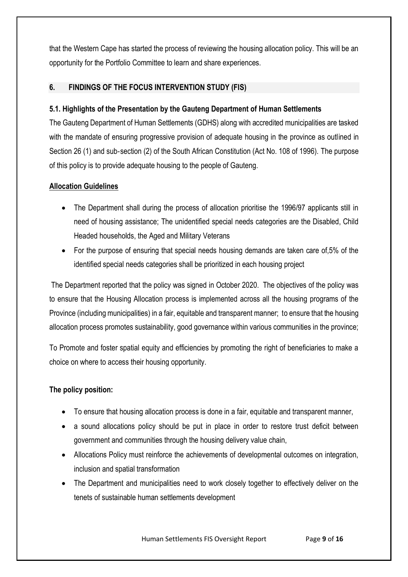that the Western Cape has started the process of reviewing the housing allocation policy. This will be an opportunity for the Portfolio Committee to learn and share experiences.

# **6. FINDINGS OF THE FOCUS INTERVENTION STUDY (FIS)**

## **5.1. Highlights of the Presentation by the Gauteng Department of Human Settlements**

The Gauteng Department of Human Settlements (GDHS) along with accredited municipalities are tasked with the mandate of ensuring progressive provision of adequate housing in the province as outlined in Section 26 (1) and sub‐section (2) of the South African Constitution (Act No. 108 of 1996). The purpose of this policy is to provide adequate housing to the people of Gauteng.

## **Allocation Guidelines**

- The Department shall during the process of allocation prioritise the 1996/97 applicants still in need of housing assistance; The unidentified special needs categories are the Disabled, Child Headed households, the Aged and Military Veterans
- For the purpose of ensuring that special needs housing demands are taken care of,5% of the identified special needs categories shall be prioritized in each housing project

The Department reported that the policy was signed in October 2020. The objectives of the policy was to ensure that the Housing Allocation process is implemented across all the housing programs of the Province (including municipalities) in a fair, equitable and transparent manner; to ensure that the housing allocation process promotes sustainability, good governance within various communities in the province;

To Promote and foster spatial equity and efficiencies by promoting the right of beneficiaries to make a choice on where to access their housing opportunity.

# **The policy position:**

- To ensure that housing allocation process is done in a fair, equitable and transparent manner,
- a sound allocations policy should be put in place in order to restore trust deficit between government and communities through the housing delivery value chain,
- Allocations Policy must reinforce the achievements of developmental outcomes on integration, inclusion and spatial transformation
- The Department and municipalities need to work closely together to effectively deliver on the tenets of sustainable human settlements development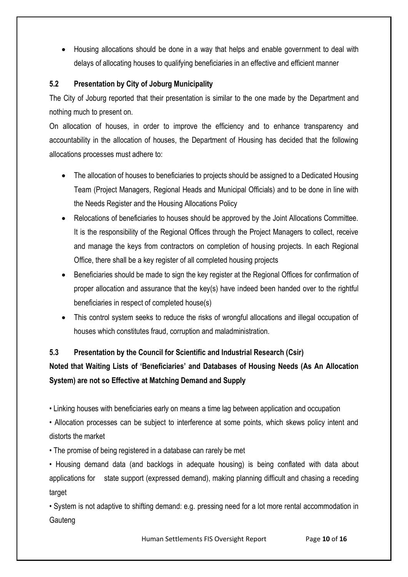• Housing allocations should be done in a way that helps and enable government to deal with delays of allocating houses to qualifying beneficiaries in an effective and efficient manner

# **5.2 Presentation by City of Joburg Municipality**

The City of Joburg reported that their presentation is similar to the one made by the Department and nothing much to present on.

On allocation of houses, in order to improve the efficiency and to enhance transparency and accountability in the allocation of houses, the Department of Housing has decided that the following allocations processes must adhere to:

- The allocation of houses to beneficiaries to projects should be assigned to a Dedicated Housing Team (Project Managers, Regional Heads and Municipal Officials) and to be done in line with the Needs Register and the Housing Allocations Policy
- Relocations of beneficiaries to houses should be approved by the Joint Allocations Committee. It is the responsibility of the Regional Offices through the Project Managers to collect, receive and manage the keys from contractors on completion of housing projects. In each Regional Office, there shall be a key register of all completed housing projects
- Beneficiaries should be made to sign the key register at the Regional Offices for confirmation of proper allocation and assurance that the key(s) have indeed been handed over to the rightful beneficiaries in respect of completed house(s)
- This control system seeks to reduce the risks of wrongful allocations and illegal occupation of houses which constitutes fraud, corruption and maladministration.

# **5.3 Presentation by the Council for Scientific and Industrial Research (Csir)**

# **Noted that Waiting Lists of 'Beneficiaries' and Databases of Housing Needs (As An Allocation System) are not so Effective at Matching Demand and Supply**

• Linking houses with beneficiaries early on means a time lag between application and occupation

• Allocation processes can be subject to interference at some points, which skews policy intent and distorts the market

• The promise of being registered in a database can rarely be met

• Housing demand data (and backlogs in adequate housing) is being conflated with data about applications for state support (expressed demand), making planning difficult and chasing a receding target

• System is not adaptive to shifting demand: e.g. pressing need for a lot more rental accommodation in **Gauteng** 

Human Settlements FIS Oversight Report Page **10** of **16**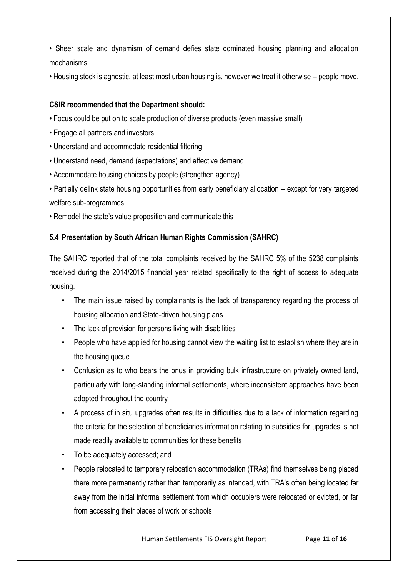- Sheer scale and dynamism of demand defies state dominated housing planning and allocation mechanisms
- Housing stock is agnostic, at least most urban housing is, however we treat it otherwise people move.

## **CSIR recommended that the Department should:**

- Focus could be put on to scale production of diverse products (even massive small)
- Engage all partners and investors
- Understand and accommodate residential filtering
- Understand need, demand (expectations) and effective demand
- Accommodate housing choices by people (strengthen agency)
- Partially delink state housing opportunities from early beneficiary allocation except for very targeted welfare sub-programmes
- Remodel the state's value proposition and communicate this

## **5.4 Presentation by South African Human Rights Commission (SAHRC)**

The SAHRC reported that of the total complaints received by the SAHRC 5% of the 5238 complaints received during the 2014/2015 financial year related specifically to the right of access to adequate housing.

- The main issue raised by complainants is the lack of transparency regarding the process of housing allocation and State-driven housing plans
- The lack of provision for persons living with disabilities
- People who have applied for housing cannot view the waiting list to establish where they are in the housing queue
- Confusion as to who bears the onus in providing bulk infrastructure on privately owned land, particularly with long-standing informal settlements, where inconsistent approaches have been adopted throughout the country
- A process of in situ upgrades often results in difficulties due to a lack of information regarding the criteria for the selection of beneficiaries information relating to subsidies for upgrades is not made readily available to communities for these benefits
- To be adequately accessed; and
- People relocated to temporary relocation accommodation (TRAs) find themselves being placed there more permanently rather than temporarily as intended, with TRA's often being located far away from the initial informal settlement from which occupiers were relocated or evicted, or far from accessing their places of work or schools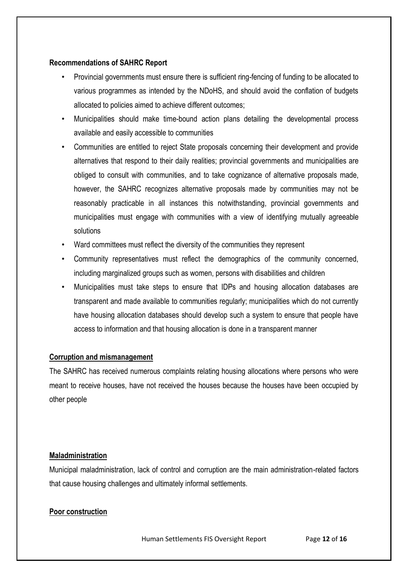## **Recommendations of SAHRC Report**

- Provincial governments must ensure there is sufficient ring-fencing of funding to be allocated to various programmes as intended by the NDoHS, and should avoid the conflation of budgets allocated to policies aimed to achieve different outcomes;
- Municipalities should make time-bound action plans detailing the developmental process available and easily accessible to communities
- Communities are entitled to reject State proposals concerning their development and provide alternatives that respond to their daily realities; provincial governments and municipalities are obliged to consult with communities, and to take cognizance of alternative proposals made, however, the SAHRC recognizes alternative proposals made by communities may not be reasonably practicable in all instances this notwithstanding, provincial governments and municipalities must engage with communities with a view of identifying mutually agreeable solutions
- Ward committees must reflect the diversity of the communities they represent
- Community representatives must reflect the demographics of the community concerned, including marginalized groups such as women, persons with disabilities and children
- Municipalities must take steps to ensure that IDPs and housing allocation databases are transparent and made available to communities regularly; municipalities which do not currently have housing allocation databases should develop such a system to ensure that people have access to information and that housing allocation is done in a transparent manner

## **Corruption and mismanagement**

The SAHRC has received numerous complaints relating housing allocations where persons who were meant to receive houses, have not received the houses because the houses have been occupied by other people

### **Maladministration**

Municipal maladministration, lack of control and corruption are the main administration-related factors that cause housing challenges and ultimately informal settlements.

## **Poor construction**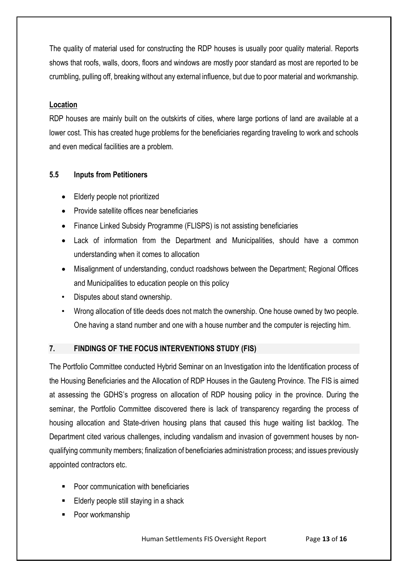The quality of material used for constructing the RDP houses is usually poor quality material. Reports shows that roofs, walls, doors, floors and windows are mostly poor standard as most are reported to be crumbling, pulling off, breaking without any external influence, but due to poor material and workmanship.

## **Location**

RDP houses are mainly built on the outskirts of cities, where large portions of land are available at a lower cost. This has created huge problems for the beneficiaries regarding traveling to work and schools and even medical facilities are a problem.

## **5.5 Inputs from Petitioners**

- Elderly people not prioritized
- Provide satellite offices near beneficiaries
- Finance Linked Subsidy Programme (FLISPS) is not assisting beneficiaries
- Lack of information from the Department and Municipalities, should have a common understanding when it comes to allocation
- Misalignment of understanding, conduct roadshows between the Department; Regional Offices and Municipalities to education people on this policy
- Disputes about stand ownership.
- Wrong allocation of title deeds does not match the ownership. One house owned by two people. One having a stand number and one with a house number and the computer is rejecting him.

# **7. FINDINGS OF THE FOCUS INTERVENTIONS STUDY (FIS)**

The Portfolio Committee conducted Hybrid Seminar on an Investigation into the Identification process of the Housing Beneficiaries and the Allocation of RDP Houses in the Gauteng Province. The FIS is aimed at assessing the GDHS's progress on allocation of RDP housing policy in the province. During the seminar, the Portfolio Committee discovered there is lack of transparency regarding the process of housing allocation and State-driven housing plans that caused this huge waiting list backlog. The Department cited various challenges, including vandalism and invasion of government houses by nonqualifying community members; finalization of beneficiaries administration process; and issues previously appointed contractors etc.

- Poor communication with beneficiaries
- Elderly people still staying in a shack
- Poor workmanship

Human Settlements FIS Oversight Report Page **13** of **16**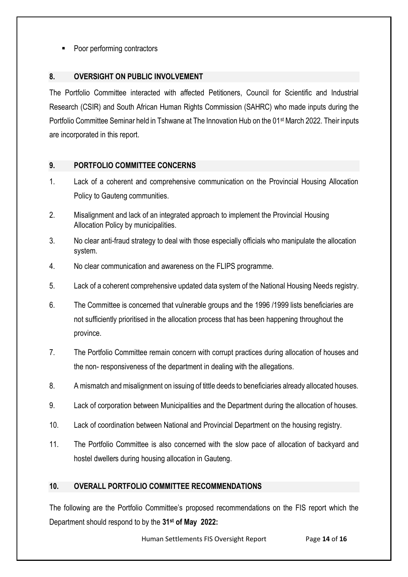Poor performing contractors

# **8. OVERSIGHT ON PUBLIC INVOLVEMENT**

The Portfolio Committee interacted with affected Petitioners, Council for Scientific and Industrial Research (CSIR) and South African Human Rights Commission (SAHRC) who made inputs during the Portfolio Committee Seminar held in Tshwane at The Innovation Hub on the 01st March 2022. Their inputs are incorporated in this report.

# **9. PORTFOLIO COMMITTEE CONCERNS**

- 1. Lack of a coherent and comprehensive communication on the Provincial Housing Allocation Policy to Gauteng communities.
- 2. Misalignment and lack of an integrated approach to implement the Provincial Housing Allocation Policy by municipalities.
- 3. No clear anti-fraud strategy to deal with those especially officials who manipulate the allocation system.
- 4. No clear communication and awareness on the FLIPS programme.
- 5. Lack of a coherent comprehensive updated data system of the National Housing Needs registry.
- 6. The Committee is concerned that vulnerable groups and the 1996 /1999 lists beneficiaries are not sufficiently prioritised in the allocation process that has been happening throughout the province.
- 7. The Portfolio Committee remain concern with corrupt practices during allocation of houses and the non- responsiveness of the department in dealing with the allegations.
- 8. A mismatch and misalignment on issuing of tittle deeds to beneficiaries already allocated houses.
- 9. Lack of corporation between Municipalities and the Department during the allocation of houses.
- 10. Lack of coordination between National and Provincial Department on the housing registry.
- 11. The Portfolio Committee is also concerned with the slow pace of allocation of backyard and hostel dwellers during housing allocation in Gauteng.

# **10. OVERALL PORTFOLIO COMMITTEE RECOMMENDATIONS**

The following are the Portfolio Committee's proposed recommendations on the FIS report which the Department should respond to by the **31st of May 2022:**

Human Settlements FIS Oversight Report Page **14** of **16**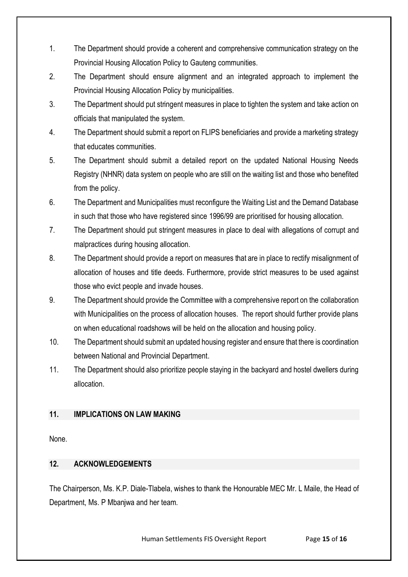- 1. The Department should provide a coherent and comprehensive communication strategy on the Provincial Housing Allocation Policy to Gauteng communities.
- 2. The Department should ensure alignment and an integrated approach to implement the Provincial Housing Allocation Policy by municipalities.
- 3. The Department should put stringent measures in place to tighten the system and take action on officials that manipulated the system.
- 4. The Department should submit a report on FLIPS beneficiaries and provide a marketing strategy that educates communities.
- 5. The Department should submit a detailed report on the updated National Housing Needs Registry (NHNR) data system on people who are still on the waiting list and those who benefited from the policy.
- 6. The Department and Municipalities must reconfigure the Waiting List and the Demand Database in such that those who have registered since 1996/99 are prioritised for housing allocation.
- 7. The Department should put stringent measures in place to deal with allegations of corrupt and malpractices during housing allocation.
- 8. The Department should provide a report on measures that are in place to rectify misalignment of allocation of houses and title deeds. Furthermore, provide strict measures to be used against those who evict people and invade houses.
- 9. The Department should provide the Committee with a comprehensive report on the collaboration with Municipalities on the process of allocation houses. The report should further provide plans on when educational roadshows will be held on the allocation and housing policy.
- 10. The Department should submit an updated housing register and ensure that there is coordination between National and Provincial Department.
- 11. The Department should also prioritize people staying in the backyard and hostel dwellers during allocation.

# <span id="page-14-1"></span><span id="page-14-0"></span>**11. IMPLICATIONS ON LAW MAKING**

None.

# **12. ACKNOWLEDGEMENTS**

The Chairperson, Ms. K.P. Diale-Tlabela, wishes to thank the Honourable MEC Mr. L Maile, the Head of Department, Ms. P Mbanjwa and her team.

Human Settlements FIS Oversight Report Page **15** of **16**